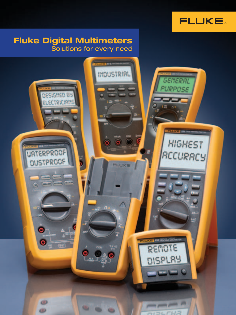

### Fluke Digital Multimeters Solutions for every need

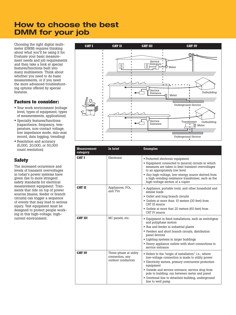## How to choose the best DMM for your job

Choosing the right digital multimeter (DMM) requires thinking about what you'll be using it for. Evaluate your basic measurement needs and job requirements and then take a look at special features/functions built into many multimeters. Think about whether you need to do basic measurements, or if you need the more advanced troubleshooting options offered by special features.

#### **Factors to consider:**

- Your work environment (voltage level, types of equipment, types of measurements, applications)
- Specialty features/functions (capacitance, frequency, temperature, non-contact voltage, low impedance mode, min-max record, data logging, trending)
- Resolution and accuracy (6,000, 20,000, or 50,000 count resolution)

#### **Safety**

The increased occurrence and levels of transient overvoltages in today's power systems have given rise to more stringent safety standards for electrical measurement equipment. Transients that ride on top of power sources (mains, feeder or branch circuits) can trigger a sequence of events that may lead to serious injury. Test equipment must be designed to protect people working in this high-voltage, highcurrent environment.



| <b>Measurement</b><br>category | In brief                                                        | <b>Examples</b>                                                                                                                                                                                                                                                                                                                                               |
|--------------------------------|-----------------------------------------------------------------|---------------------------------------------------------------------------------------------------------------------------------------------------------------------------------------------------------------------------------------------------------------------------------------------------------------------------------------------------------------|
| <b>CATI</b>                    | Electronic                                                      | • Protected electronic equipment<br>• Equipment connected to (source) circuits in which<br>measures are taken to limit transient overvoltages<br>to an appropriately low level<br>• Any high-voltage, low-energy source derived from<br>a high-winding resistance transformer, such as the<br>high-voltage section of a copier                                |
| <b>CAT II</b>                  | Appliances, PCs,<br>and TVs                                     | • Appliance, portable tools, and other household and<br>similar loads<br>• Outlet and long branch circuits<br>• Outlets at more than 10 meters (30 feet) from<br>CAT III source<br>• Outlets at more that 20 meters (60 feet) from<br>CAT IV source                                                                                                           |
| <b>CAT III</b>                 | MC panels, etc.                                                 | • Equipment in fixed installations, such as switchgear<br>and polyphase motors<br>• Bus and feeder in industrial plants<br>• Feeders and short branch circuits, distribution<br>panel devices<br>• Lighting systems in larger buildings<br>• Heavy appliance outlets with short connections to<br>service entrance                                            |
| <b>CAT IV</b>                  | Three-phase at utility<br>connection, any<br>outdoor conductors | • Refers to the "origin of installation", i.e., where<br>low-voltage connection is made to utility power<br>• Electricity meters, primary overcurrent protection<br>equipment<br>• Outside and service entrance, service drop from<br>pole to building, run between meter and panel<br>• Overhead line to detached building, underground<br>line to well pump |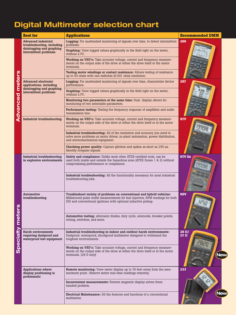# Digital Multimeter selection chart

|               | <b>Best for</b>                                                                   | <b>Applications</b>                                                                                                                                                                                                       |                |  |  |  |  |
|---------------|-----------------------------------------------------------------------------------|---------------------------------------------------------------------------------------------------------------------------------------------------------------------------------------------------------------------------|----------------|--|--|--|--|
|               | <b>Advanced industrial</b><br>troubleshooting, including                          | <b>Logging:</b> For unattended monitoring of signals over time, to detect intermittent<br>problems.                                                                                                                       | 289            |  |  |  |  |
|               | datalogging and graphing<br>intermittent problems                                 | Graphing: View logged values graphically in the field right on the meter,<br>without a PC.                                                                                                                                |                |  |  |  |  |
|               |                                                                                   | Working on VSD's: Take accurate voltage, current and frequency measure-<br>ments on the output side of the drive at either the drive itself or the motor<br>terminals.                                                    |                |  |  |  |  |
|               |                                                                                   | Testing motor windings or contact resistance: Allows testing of resistance<br>up to 50 ohms with one milliohm (0.001 ohm) resolution.                                                                                     |                |  |  |  |  |
| meters        | <b>Advanced electronic</b><br>applications, including                             | Logging: For unattended monitoring of signals over time, characterize device<br>performance.                                                                                                                              | 287            |  |  |  |  |
|               | datalogging and graphing<br>intermittent problems                                 | Graphing: View logged values graphically in the field right on the meter,<br>without a PC.                                                                                                                                |                |  |  |  |  |
|               |                                                                                   | Monitoring two parameters at the same time: Dual display allows for<br>monitoring of two selectable parameters.                                                                                                           |                |  |  |  |  |
| Advanced      |                                                                                   | Performance testing: Testing the frequency response of amplifiers and audio<br>transmission line.                                                                                                                         |                |  |  |  |  |
|               | <b>Industrial troubleshooting</b>                                                 | Working on VSD's: Take accurate voltage, current and frequency measure-<br>ments on the output side of the drive at either the drive itself or at the motor<br>terminals.                                                 | <b>87V</b>     |  |  |  |  |
|               |                                                                                   | Industrial troubleshooting: All of the resolution and accuracy you need to<br>solve more problems on motor drives, in-plant automation, power distribution,<br>and electromechanical equipment.                           |                |  |  |  |  |
|               |                                                                                   | <b>Checking power quality:</b> Capture glitches and spikes as short as 250 us.<br>Identify irregular signals.                                                                                                             |                |  |  |  |  |
| U)            | Industrial troubleshooting<br>in explosive environments                           | Safety and compliance: Unlike most other ATEX-certified tools, can be<br>used both inside and outside the hazardous zone (ATEX Zones 1 & 2) without<br>compromising performance or compliance.                            | <b>87V Ex</b>  |  |  |  |  |
|               |                                                                                   | <b>Industrial troubleshooting:</b> All the functionality necessary for most industrial<br>troubleshooting jobs.                                                                                                           |                |  |  |  |  |
|               | <b>Automotive</b><br>troubleshooting                                              | Troubleshoot variety of problems on conventional and hybrid vehicles:<br>Millisecond pulse width measurements for fuel injectors, RPM readings for both<br>DIS and conventional ignitions with optional inductive pickup. | <b>88V</b>     |  |  |  |  |
|               |                                                                                   | Automotive testing: alternator diodes, duty cycle, solenoids, breaker points,<br>wiring, switches, and more.                                                                                                              |                |  |  |  |  |
| pecialty mete | <b>Harsh environments</b><br>requiring dustproof and<br>waterproof test equipment | Industrial troubleshooting in indoor and outdoor harsh environments:<br>Dustproof, waterproof, shockproof multimeter designed to withstand the<br>toughest environments.                                                  | 28 II/<br>27II |  |  |  |  |
|               |                                                                                   | Working on VSD's: Take accurate voltage, current and frequency measure-<br>ments on the output side of the drive at either the drive itself or at the motor<br>terminals. (28 II only)                                    | <b>New</b>     |  |  |  |  |
|               | <b>Applications where</b><br>display positioning is<br>problematic                | Remote monitoring: View meter display up to 30 feet away from the mea-<br>surement point. Observe meter real-time readings remotely.                                                                                      | 233            |  |  |  |  |
|               |                                                                                   | Inconvenient measurements: Remote magnetic display solves three<br>handed problem.                                                                                                                                        |                |  |  |  |  |
|               |                                                                                   | <b>Electrical Maintenance:</b> All the features and functions of a conventional<br>multimeter.                                                                                                                            | <b>New</b>     |  |  |  |  |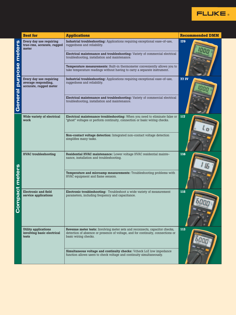

|                   | <b>Best for</b>                                                          | <b>Applications</b>                                                                                                                                                                                                                                                                                                                                                                                          | <b>Recommended DMM</b> |
|-------------------|--------------------------------------------------------------------------|--------------------------------------------------------------------------------------------------------------------------------------------------------------------------------------------------------------------------------------------------------------------------------------------------------------------------------------------------------------------------------------------------------------|------------------------|
| meters<br>purpose | Every day use requiring<br>true-rms, accurate, rugged<br>meter           | Industrial troubleshooting: Applications requiring exceptional ease-of-use,<br>ruggedness and reliability.<br>Electrical maintenance and troubleshooting: Variety of commercial electrical<br>troubleshooting, installation and maintenance.<br><b>Temperature measurements:</b> Built-in thermometer conveniently allows you to<br>take temperature readings without having to carry a separate instrument. | 179                    |
| General           | Every day use requiring<br>average responding,<br>accurate, rugged meter | Industrial troubleshooting: Applications requiring exceptional ease-of-use,<br>ruggedness and reliability.<br>Electrical maintenance and troubleshooting: Variety of commercial electrical<br>troubleshooting, installation and maintenance.                                                                                                                                                                 | <b>77 IV</b>           |
| meters<br>ompact  | Wide variety of electrical<br>work                                       | Electrical maintenance troubleshooting: When you need to eliminate false or<br>"ghost" voltages or perform continuity, connection or basic wiring checks.<br>Non-contact voltage detection: Integrated non-contact voltage detection<br>simplifies many tasks.                                                                                                                                               | 117                    |
|                   | <b>HVAC</b> troubleshooting                                              | Residential HVAC maintenance: Lower voltage HVAC residential mainte-<br>nance, installation and troubleshooting.<br>Temperature and microamp measurements: Troubleshooting problems with<br>HVAC equipment and flame sensors.                                                                                                                                                                                | 116                    |
|                   | <b>Electronic and field</b><br>service applications                      | Electronic troubleshooting: Troubleshoot a wide variety of measurement<br>parameters, including frequency and capacitance.                                                                                                                                                                                                                                                                                   | 115                    |
|                   | Utility applications<br>involving basic electrical<br>tests              | Revenue meter tests: Involving meter sets and reconnects, capacitor checks,<br>detection of absence or presence of voltage, and for continuity, connections or<br>basic wiring checks.<br>Simultaneous voltage and continuity checks: Vcheck LoZ low impedance<br>function allows users to check voltage and continuity simultaneously.                                                                      | 113                    |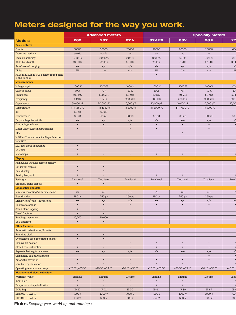## Meters designed for the way you work.

|                                            |                          | <b>Advanced meters</b>   |                          |                          |                             | <b>Specialty meters</b>  |                 |
|--------------------------------------------|--------------------------|--------------------------|--------------------------|--------------------------|-----------------------------|--------------------------|-----------------|
| <b>Models</b>                              | 289                      | 287                      | 87 V                     | <b>87V EX</b>            | <b>88V</b>                  | <b>28 II</b>             | 27              |
| <b>Basic features</b>                      |                          |                          |                          |                          |                             |                          |                 |
| <b>Counts</b>                              | 50000                    | 50000                    | 20000                    | 20000                    | 20000                       | 20000                    | 600             |
| True-rms readings                          | $ac+dc$                  | $ac+dc$                  | ac                       | ac                       | ac                          | ac                       |                 |
| Basic dc accuracy                          | 0.025%                   | 0.025%                   | 0.05%                    | 0.05 %                   | $0.1\%$                     | $0.05\%$                 | 0.1             |
| Wide bandwidth                             | $100$ kHz                | $100$ kHz                | $20$ kHz                 | 20 kHz                   | 5 kHz                       | $20$ kHz                 | 30k             |
| Auto/manual ranging                        | $\bullet/\bullet$        | $\bullet/\bullet$        | $\bullet/\bullet$        | $\bullet/\bullet$        | $\bullet/\bullet$           | $\bullet/\bullet$        | $\bullet/$      |
| Digits                                     | $4\frac{1}{2}$           | $4^{1/2}$                | $4^{1/2}$                | $4\frac{1}{2}$           | $4^{1/2}$                   | $4\frac{1}{2}$           | 3 <sup>1</sup>  |
| ATEX II 2G Eex ia IICT4 safety rating Zone |                          |                          |                          | $\bullet$                |                             |                          |                 |
| 1 and Zone 2                               |                          |                          |                          |                          |                             |                          |                 |
| <b>Measurements</b>                        |                          |                          |                          |                          |                             |                          |                 |
| Voltage ac/dc                              | 1000 V                   | 1000 V                   | 1000 V                   | 1000 V                   | 1000 V                      | 1000 V                   | 1000            |
| Current ac/dc                              | 10A                      | 10 A                     | 10 A                     | 10 A                     | 10 A                        | 10 A                     | $10$            |
| Resistance                                 | 500 $\rm{M}\Omega$       | 500 $\rm{M}\Omega$       | $50\ \mathrm{M}\Omega$   | $50\ \mathrm{M}\Omega$   | $50 \text{ M}\Omega$        | $50 \text{ M}\Omega$     | 50N             |
| Frequency                                  | $1$ MHz                  | $1$ MHz                  | 200 kHz                  | 200 kHz                  | 200 kHz                     | 200 kHz                  | 200             |
| Capacitance                                | 50,000 µF                | 50,000 µF                | 10,000 µF                | $10,000 \,\mu F$         | $10,000 \,\mathrm{\upmu F}$ | 10,000 µF                | 10,00           |
| Temperature                                | (+) $1350 °C$            | $(+)$ 1350 °C            | (+) $1090 °C$            | (+) $1090 °C$            | (+) $1090 °C$               | (+) $1090 °C$            |                 |
| $\overline{dB}$                            | 60 dB                    | 60 dB                    |                          |                          |                             |                          |                 |
| Conductance                                | 50 nS                    | 50 nS                    | 60 nS                    | 60 nS                    | 60 nS                       | 60 nS                    | 60              |
| Duty cycle/pulse width                     | $\bullet/\bullet$        | $\bullet/\bullet$        | $\bullet/-$              | $\bullet/-$              | $\bullet/-$                 | $\bullet/-$              | $\bullet$       |
| Continuity/diode test                      | $\bullet$                | $\bullet$                | $\bullet$                | $\bullet$                | $\bullet$                   | $\bullet$                |                 |
| Motor Drive (ASD) measurements             | $\bullet$                |                          | $\bullet$                | $\bullet$                |                             | $\bullet$                |                 |
| RPM                                        |                          |                          |                          |                          | $\bullet$                   |                          |                 |
| VoltAlert™, non-contact voltage detection  |                          |                          |                          |                          |                             |                          |                 |
| $\mathbf{VCHEK}^{\mathsf{TM}}$             |                          |                          |                          |                          |                             |                          |                 |
| LoZ: low input impedance                   | $\bullet$                |                          |                          |                          |                             |                          |                 |
| Lo Ohms                                    | $\bullet$                |                          |                          |                          |                             |                          |                 |
| Microamps                                  | $\bullet$                | $\bullet$                | $\bullet$                | $\bullet$                | $\bullet$                   | $\bullet$                |                 |
| Display                                    |                          |                          |                          |                          |                             |                          |                 |
| Removable wireless remote display          |                          |                          |                          |                          |                             |                          |                 |
| Dot matrix display                         | $\bullet$                | $\bullet$                |                          |                          |                             |                          |                 |
| Dual display                               | $\bullet$                | $\bullet$                |                          |                          |                             |                          |                 |
| Analog bargraph                            | $\bullet$                | $\bullet$                | $\bullet$                | $\bullet$                | $\bullet$                   | $\bullet$                |                 |
| Backlight                                  | Two level                | Two level                | Two level                | Two level                | Two level                   | Two level                | Two l           |
| Graphical trend display                    | $\bullet$                | $\bullet$                |                          |                          |                             |                          |                 |
| Diagnostics and data                       |                          |                          |                          |                          |                             |                          |                 |
| Min Max recording/with time stamp          | $\bullet/\bullet$        | $\bullet/\bullet$        | $\bullet/-$              | $\bullet/-$              | $\bullet/-$                 | $\bullet/-$              | $\bullet/$      |
| Fast Min Max                               | $250 \,\mathrm{\upmu s}$ | $250 \,\mathrm{\upmu s}$ | $250 \,\mathrm{\upmu s}$ | $250 \,\mathrm{\upmu s}$ | $250 \,\mathrm{\mu s}$      | $250 \,\mathrm{\upmu s}$ |                 |
| Display Hold/Auto (Touch) Hold             | $\bullet/\bullet$        | $\bullet/\bullet$        | $\bullet/\bullet$        | $\bullet/\bullet$        | $\bullet/\bullet$           | $\bullet/\bullet$        |                 |
| Relative reference                         | $\bullet$                | $\bullet$                | $\bullet$                | $\bullet$                | $\bullet$                   | $\bullet$                |                 |
| Stand alone logging                        | $\bullet$                | $\bullet$                |                          |                          |                             |                          |                 |
| <b>Trend Capture</b>                       | $\bullet$                | $\bullet$                |                          |                          |                             |                          |                 |
| Readings memories                          | 10,000                   | 10,000                   |                          |                          |                             |                          |                 |
| USB interface                              | $\bullet$                | $\bullet$                |                          |                          |                             |                          |                 |
| Other features                             |                          |                          |                          |                          |                             |                          |                 |
| Automatic selection, ac/dc volts           |                          |                          |                          |                          |                             |                          |                 |
| Real time clock                            | $\bullet$                | $\bullet$                |                          |                          |                             |                          |                 |
| Overmolded case, integrated holster        | $\bullet$                | $\bullet$                |                          |                          |                             |                          |                 |
| Removable holster                          |                          |                          | $\bullet$                | $\bullet$                | $\bullet$                   | $\bullet$                |                 |
| Closed case calibration                    | $\bullet$                | $\bullet$                | $\bullet$                | $\bullet$                | $\bullet$                   | $\bullet$                |                 |
| Separate battery/fuse access               | $\bullet/\bullet$        | $\bullet/\bullet$        | $\bullet/-$              | $\bullet/-$              | $\bullet/-$                 | $\bullet/-$              | $\bullet$       |
| Completely sealed/watertight               |                          |                          |                          |                          |                             | $\bullet$                |                 |
| Automatic power off                        | $\bullet$                | $\bullet$                | $\bullet$                | $\bullet$                | $\bullet$                   | $\bullet$                |                 |
| Low battery indication                     | $\bullet$                | $\bullet$                | $\bullet$                | $\bullet$                | $\bullet$                   | $\bullet$                |                 |
| Operating temperature range                | $-20 °C$ , +55 °C        | $-20 °C$ , +55 °C        | $-20$ °C , +55 °C        | -20 °C ,+55 °C           | $-20$ °C, $+55$ °C          | -40 °C ,+55 °C           | $-40 °C$ ,      |
| Warranty and electrical safety             |                          |                          |                          |                          |                             |                          |                 |
| <b>Warranty (years)</b>                    | Lifetime                 | Lifetime                 | Lifetime                 | Lifetime                 | Lifetime                    | Lifetime                 | Lifeti          |
| Input alert                                | $\bullet$                | $\bullet$                | $\bullet$                | $\bullet$                | $\bullet$                   | $\bullet$                |                 |
| Dangerous voltage indication               | $\bullet$                | $\bullet$                | $\bullet$                | $\bullet$                | $\bullet$                   | $\bullet$                |                 |
| IP Rating                                  | IP 42                    | IP 42                    | IP 30                    | IP 44                    | IP 30                       | IP 67                    | IP <sub>6</sub> |
| EN61010-1 CAT III                          | 1000 V                   | 1000 V                   | 1000 V                   | 1000 V                   | 1000 V                      | 1000 V                   | 1000            |
| <b>EN61010-1 CAT IV</b>                    | 600 V                    | 600 V                    | 600 V                    | 600 V                    | 600 V                       | 600 V                    | 600             |
|                                            |                          |                          |                          |                          |                             |                          |                 |

Fluke. *Keeping your world up and running.*®